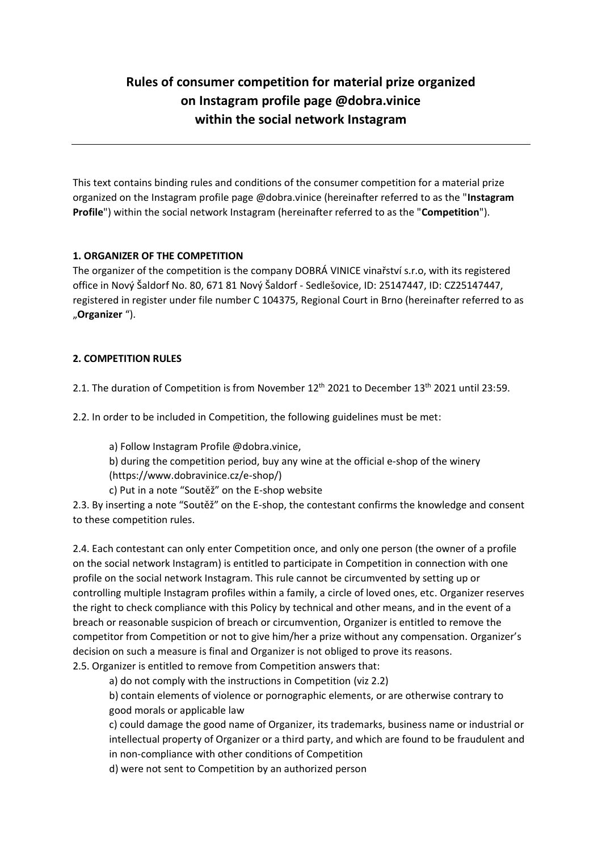# **Rules of consumer competition for material prize organized on Instagram profile page @dobra.vinice within the social network Instagram**

This text contains binding rules and conditions of the consumer competition for a material prize organized on the Instagram profile page @dobra.vinice (hereinafter referred to as the "**Instagram Profile**") within the social network Instagram (hereinafter referred to as the "**Competition**").

## **1. ORGANIZER OF THE COMPETITION**

The organizer of the competition is the company DOBRÁ VINICE vinařství s.r.o, with its registered office in Nový Šaldorf No. 80, 671 81 Nový Šaldorf - Sedlešovice, ID: 25147447, ID: CZ25147447, registered in register under file number C 104375, Regional Court in Brno (hereinafter referred to as "**Organizer** ").

## **2. COMPETITION RULES**

2.1. The duration of Competition is from November 12<sup>th</sup> 2021 to December 13<sup>th</sup> 2021 until 23:59.

2.2. In order to be included in Competition, the following guidelines must be met:

a) Follow Instagram Profile @dobra.vinice,

b) during the competition period, buy any wine at the official e-shop of the winery (https://www.dobravinice.cz/e-shop/)

c) Put in a note "Soutěž" on the E-shop website

2.3. By inserting a note "Soutěž" on the E-shop, the contestant confirms the knowledge and consent to these competition rules.

2.4. Each contestant can only enter Competition once, and only one person (the owner of a profile on the social network Instagram) is entitled to participate in Competition in connection with one profile on the social network Instagram. This rule cannot be circumvented by setting up or controlling multiple Instagram profiles within a family, a circle of loved ones, etc. Organizer reserves the right to check compliance with this Policy by technical and other means, and in the event of a breach or reasonable suspicion of breach or circumvention, Organizer is entitled to remove the competitor from Competition or not to give him/her a prize without any compensation. Organizer's decision on such a measure is final and Organizer is not obliged to prove its reasons. 2.5. Organizer is entitled to remove from Competition answers that:

a) do not comply with the instructions in Competition (viz 2.2)

b) contain elements of violence or pornographic elements, or are otherwise contrary to good morals or applicable law

c) could damage the good name of Organizer, its trademarks, business name or industrial or intellectual property of Organizer or a third party, and which are found to be fraudulent and in non-compliance with other conditions of Competition

d) were not sent to Competition by an authorized person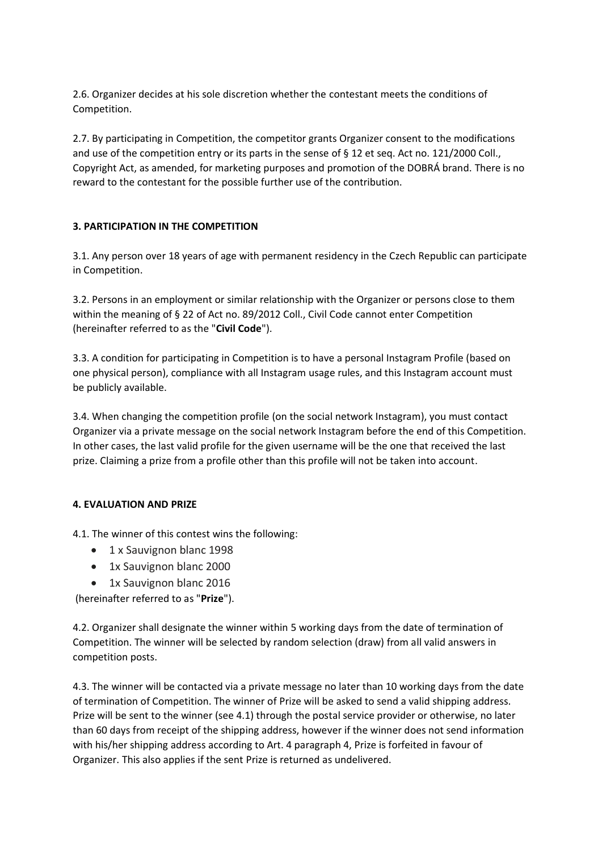2.6. Organizer decides at his sole discretion whether the contestant meets the conditions of Competition.

2.7. By participating in Competition, the competitor grants Organizer consent to the modifications and use of the competition entry or its parts in the sense of § 12 et seq. Act no. 121/2000 Coll., Copyright Act, as amended, for marketing purposes and promotion of the DOBRÁ brand. There is no reward to the contestant for the possible further use of the contribution.

# **3. PARTICIPATION IN THE COMPETITION**

3.1. Any person over 18 years of age with permanent residency in the Czech Republic can participate in Competition.

3.2. Persons in an employment or similar relationship with the Organizer or persons close to them within the meaning of § 22 of Act no. 89/2012 Coll., Civil Code cannot enter Competition (hereinafter referred to as the "**Civil Code**").

3.3. A condition for participating in Competition is to have a personal Instagram Profile (based on one physical person), compliance with all Instagram usage rules, and this Instagram account must be publicly available.

3.4. When changing the competition profile (on the social network Instagram), you must contact Organizer via a private message on the social network Instagram before the end of this Competition. In other cases, the last valid profile for the given username will be the one that received the last prize. Claiming a prize from a profile other than this profile will not be taken into account.

## **4. EVALUATION AND PRIZE**

4.1. The winner of this contest wins the following:

- 1 x Sauvignon blanc 1998
- 1x Sauvignon blanc 2000
- 1x Sauvignon blanc 2016

(hereinafter referred to as "**Prize**").

4.2. Organizer shall designate the winner within 5 working days from the date of termination of Competition. The winner will be selected by random selection (draw) from all valid answers in competition posts.

4.3. The winner will be contacted via a private message no later than 10 working days from the date of termination of Competition. The winner of Prize will be asked to send a valid shipping address. Prize will be sent to the winner (see 4.1) through the postal service provider or otherwise, no later than 60 days from receipt of the shipping address, however if the winner does not send information with his/her shipping address according to Art. 4 paragraph 4, Prize is forfeited in favour of Organizer. This also applies if the sent Prize is returned as undelivered.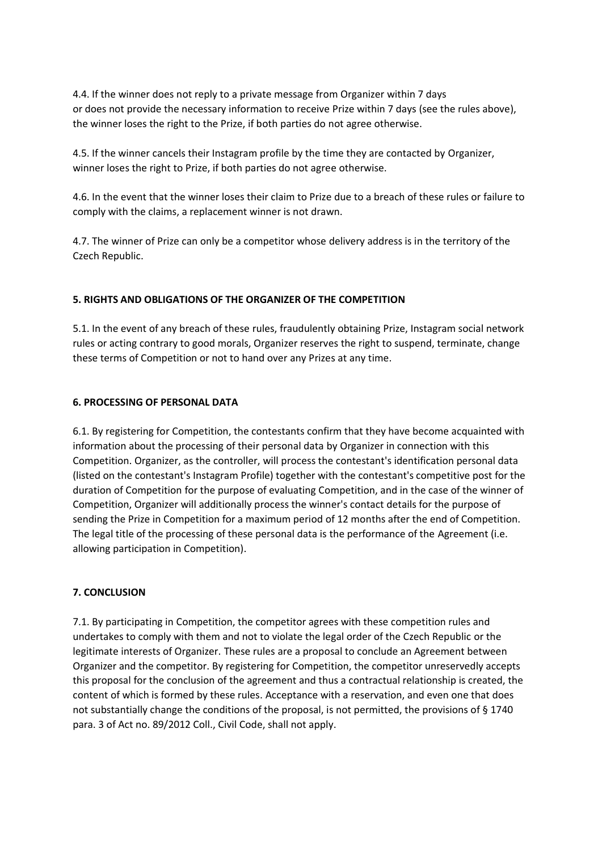4.4. If the winner does not reply to a private message from Organizer within 7 days or does not provide the necessary information to receive Prize within 7 days (see the rules above), the winner loses the right to the Prize, if both parties do not agree otherwise.

4.5. If the winner cancels their Instagram profile by the time they are contacted by Organizer, winner loses the right to Prize, if both parties do not agree otherwise.

4.6. In the event that the winner loses their claim to Prize due to a breach of these rules or failure to comply with the claims, a replacement winner is not drawn.

4.7. The winner of Prize can only be a competitor whose delivery address is in the territory of the Czech Republic.

## **5. RIGHTS AND OBLIGATIONS OF THE ORGANIZER OF THE COMPETITION**

5.1. In the event of any breach of these rules, fraudulently obtaining Prize, Instagram social network rules or acting contrary to good morals, Organizer reserves the right to suspend, terminate, change these terms of Competition or not to hand over any Prizes at any time.

#### **6. PROCESSING OF PERSONAL DATA**

6.1. By registering for Competition, the contestants confirm that they have become acquainted with information about the processing of their personal data by Organizer in connection with this Competition. Organizer, as the controller, will process the contestant's identification personal data (listed on the contestant's Instagram Profile) together with the contestant's competitive post for the duration of Competition for the purpose of evaluating Competition, and in the case of the winner of Competition, Organizer will additionally process the winner's contact details for the purpose of sending the Prize in Competition for a maximum period of 12 months after the end of Competition. The legal title of the processing of these personal data is the performance of the Agreement (i.e. allowing participation in Competition).

#### **7. CONCLUSION**

7.1. By participating in Competition, the competitor agrees with these competition rules and undertakes to comply with them and not to violate the legal order of the Czech Republic or the legitimate interests of Organizer. These rules are a proposal to conclude an Agreement between Organizer and the competitor. By registering for Competition, the competitor unreservedly accepts this proposal for the conclusion of the agreement and thus a contractual relationship is created, the content of which is formed by these rules. Acceptance with a reservation, and even one that does not substantially change the conditions of the proposal, is not permitted, the provisions of § 1740 para. 3 of Act no. 89/2012 Coll., Civil Code, shall not apply.